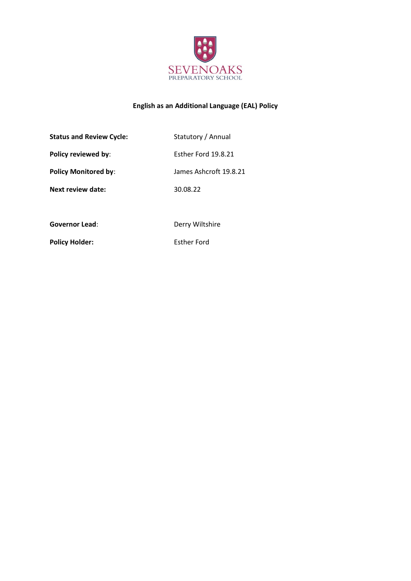

# **English as an Additional Language (EAL) Policy**

| <b>Status and Review Cycle:</b> | Statutory / Annual     |
|---------------------------------|------------------------|
| Policy reviewed by:             | Esther Ford 19.8.21    |
| <b>Policy Monitored by:</b>     | James Ashcroft 19.8.21 |
| Next review date:               | 30.08.22               |
|                                 |                        |
| Governor Lead:                  | Derry Wiltshire        |

Policy Holder: Esther Ford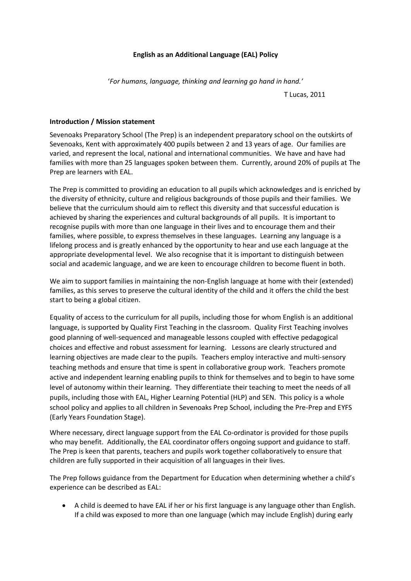# **English as an Additional Language (EAL) Policy**

'*For humans, language, thinking and learning go hand in hand.'*

T Lucas, 2011

# **Introduction / Mission statement**

Sevenoaks Preparatory School (The Prep) is an independent preparatory school on the outskirts of Sevenoaks, Kent with approximately 400 pupils between 2 and 13 years of age. Our families are varied, and represent the local, national and international communities. We have and have had families with more than 25 languages spoken between them. Currently, around 20% of pupils at The Prep are learners with EAL.

The Prep is committed to providing an education to all pupils which acknowledges and is enriched by the diversity of ethnicity, culture and religious backgrounds of those pupils and their families. We believe that the curriculum should aim to reflect this diversity and that successful education is achieved by sharing the experiences and cultural backgrounds of all pupils. It is important to recognise pupils with more than one language in their lives and to encourage them and their families, where possible, to express themselves in these languages. Learning any language is a lifelong process and is greatly enhanced by the opportunity to hear and use each language at the appropriate developmental level. We also recognise that it is important to distinguish between social and academic language, and we are keen to encourage children to become fluent in both.

We aim to support families in maintaining the non-English language at home with their (extended) families, as this serves to preserve the cultural identity of the child and it offers the child the best start to being a global citizen.

Equality of access to the curriculum for all pupils, including those for whom English is an additional language, is supported by Quality First Teaching in the classroom. Quality First Teaching involves good planning of well-sequenced and manageable lessons coupled with effective pedagogical choices and effective and robust assessment for learning. Lessons are clearly structured and learning objectives are made clear to the pupils. Teachers employ interactive and multi-sensory teaching methods and ensure that time is spent in collaborative group work. Teachers promote active and independent learning enabling pupils to think for themselves and to begin to have some level of autonomy within their learning. They differentiate their teaching to meet the needs of all pupils, including those with EAL, Higher Learning Potential (HLP) and SEN. This policy is a whole school policy and applies to all children in Sevenoaks Prep School, including the Pre-Prep and EYFS (Early Years Foundation Stage).

Where necessary, direct language support from the EAL Co-ordinator is provided for those pupils who may benefit. Additionally, the EAL coordinator offers ongoing support and guidance to staff. The Prep is keen that parents, teachers and pupils work together collaboratively to ensure that children are fully supported in their acquisition of all languages in their lives.

The Prep follows guidance from the Department for Education when determining whether a child's experience can be described as EAL:

• A child is deemed to have EAL if her or his first language is any language other than English. If a child was exposed to more than one language (which may include English) during early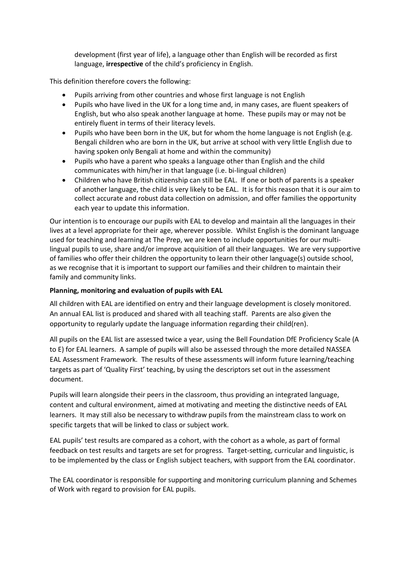development (first year of life), a language other than English will be recorded as first language, **irrespective** of the child's proficiency in English.

This definition therefore covers the following:

- Pupils arriving from other countries and whose first language is not English
- Pupils who have lived in the UK for a long time and, in many cases, are fluent speakers of English, but who also speak another language at home. These pupils may or may not be entirely fluent in terms of their literacy levels.
- Pupils who have been born in the UK, but for whom the home language is not English (e.g. Bengali children who are born in the UK, but arrive at school with very little English due to having spoken only Bengali at home and within the community)
- Pupils who have a parent who speaks a language other than English and the child communicates with him/her in that language (i.e. bi-lingual children)
- Children who have British citizenship can still be EAL. If one or both of parents is a speaker of another language, the child is very likely to be EAL. It is for this reason that it is our aim to collect accurate and robust data collection on admission, and offer families the opportunity each year to update this information.

Our intention is to encourage our pupils with EAL to develop and maintain all the languages in their lives at a level appropriate for their age, wherever possible. Whilst English is the dominant language used for teaching and learning at The Prep, we are keen to include opportunities for our multilingual pupils to use, share and/or improve acquisition of all their languages. We are very supportive of families who offer their children the opportunity to learn their other language(s) outside school, as we recognise that it is important to support our families and their children to maintain their family and community links.

# **Planning, monitoring and evaluation of pupils with EAL**

All children with EAL are identified on entry and their language development is closely monitored. An annual EAL list is produced and shared with all teaching staff. Parents are also given the opportunity to regularly update the language information regarding their child(ren).

All pupils on the EAL list are assessed twice a year, using the Bell Foundation DfE Proficiency Scale (A to E) for EAL learners. A sample of pupils will also be assessed through the more detailed NASSEA EAL Assessment Framework. The results of these assessments will inform future learning/teaching targets as part of 'Quality First' teaching, by using the descriptors set out in the assessment document.

Pupils will learn alongside their peers in the classroom, thus providing an integrated language, content and cultural environment, aimed at motivating and meeting the distinctive needs of EAL learners. It may still also be necessary to withdraw pupils from the mainstream class to work on specific targets that will be linked to class or subject work.

EAL pupils' test results are compared as a cohort, with the cohort as a whole, as part of formal feedback on test results and targets are set for progress. Target-setting, curricular and linguistic, is to be implemented by the class or English subject teachers, with support from the EAL coordinator.

The EAL coordinator is responsible for supporting and monitoring curriculum planning and Schemes of Work with regard to provision for EAL pupils.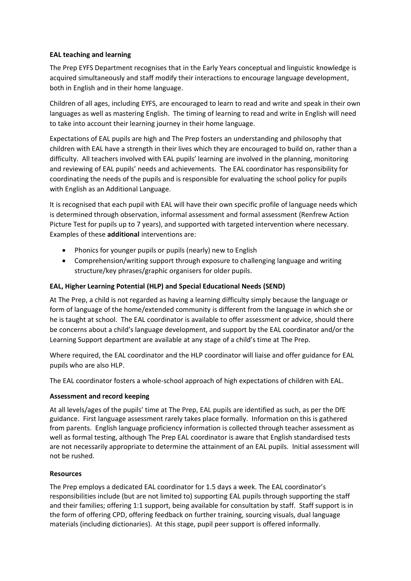# **EAL teaching and learning**

The Prep EYFS Department recognises that in the Early Years conceptual and linguistic knowledge is acquired simultaneously and staff modify their interactions to encourage language development, both in English and in their home language.

Children of all ages, including EYFS, are encouraged to learn to read and write and speak in their own languages as well as mastering English. The timing of learning to read and write in English will need to take into account their learning journey in their home language.

Expectations of EAL pupils are high and The Prep fosters an understanding and philosophy that children with EAL have a strength in their lives which they are encouraged to build on, rather than a difficulty. All teachers involved with EAL pupils' learning are involved in the planning, monitoring and reviewing of EAL pupils' needs and achievements. The EAL coordinator has responsibility for coordinating the needs of the pupils and is responsible for evaluating the school policy for pupils with English as an Additional Language.

It is recognised that each pupil with EAL will have their own specific profile of language needs which is determined through observation, informal assessment and formal assessment (Renfrew Action Picture Test for pupils up to 7 years), and supported with targeted intervention where necessary. Examples of these **additional** interventions are:

- Phonics for younger pupils or pupils (nearly) new to English
- Comprehension/writing support through exposure to challenging language and writing structure/key phrases/graphic organisers for older pupils.

# **EAL, Higher Learning Potential (HLP) and Special Educational Needs (SEND)**

At The Prep, a child is not regarded as having a learning difficulty simply because the language or form of language of the home/extended community is different from the language in which she or he is taught at school. The EAL coordinator is available to offer assessment or advice, should there be concerns about a child's language development, and support by the EAL coordinator and/or the Learning Support department are available at any stage of a child's time at The Prep.

Where required, the EAL coordinator and the HLP coordinator will liaise and offer guidance for EAL pupils who are also HLP.

The EAL coordinator fosters a whole-school approach of high expectations of children with EAL.

### **Assessment and record keeping**

At all levels/ages of the pupils' time at The Prep, EAL pupils are identified as such, as per the DfE guidance. First language assessment rarely takes place formally. Information on this is gathered from parents. English language proficiency information is collected through teacher assessment as well as formal testing, although The Prep EAL coordinator is aware that English standardised tests are not necessarily appropriate to determine the attainment of an EAL pupils. Initial assessment will not be rushed.

### **Resources**

The Prep employs a dedicated EAL coordinator for 1.5 days a week. The EAL coordinator's responsibilities include (but are not limited to) supporting EAL pupils through supporting the staff and their families; offering 1:1 support, being available for consultation by staff. Staff support is in the form of offering CPD, offering feedback on further training, sourcing visuals, dual language materials (including dictionaries). At this stage, pupil peer support is offered informally.